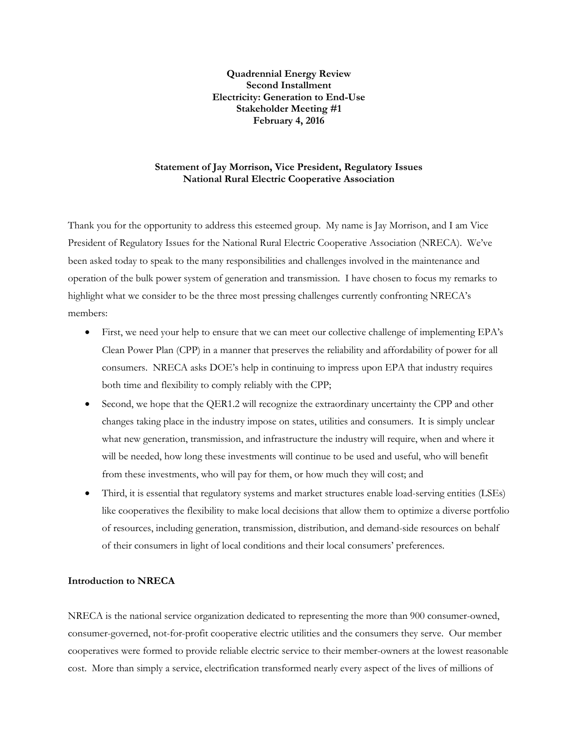**Quadrennial Energy Review Second Installment Electricity: Generation to End-Use Stakeholder Meeting #1 February 4, 2016**

## **Statement of Jay Morrison, Vice President, Regulatory Issues National Rural Electric Cooperative Association**

Thank you for the opportunity to address this esteemed group. My name is Jay Morrison, and I am Vice President of Regulatory Issues for the National Rural Electric Cooperative Association (NRECA). We've been asked today to speak to the many responsibilities and challenges involved in the maintenance and operation of the bulk power system of generation and transmission. I have chosen to focus my remarks to highlight what we consider to be the three most pressing challenges currently confronting NRECA's members:

- First, we need your help to ensure that we can meet our collective challenge of implementing EPA's Clean Power Plan (CPP) in a manner that preserves the reliability and affordability of power for all consumers. NRECA asks DOE's help in continuing to impress upon EPA that industry requires both time and flexibility to comply reliably with the CPP;
- Second, we hope that the QER1.2 will recognize the extraordinary uncertainty the CPP and other changes taking place in the industry impose on states, utilities and consumers. It is simply unclear what new generation, transmission, and infrastructure the industry will require, when and where it will be needed, how long these investments will continue to be used and useful, who will benefit from these investments, who will pay for them, or how much they will cost; and
- Third, it is essential that regulatory systems and market structures enable load-serving entities (LSEs) like cooperatives the flexibility to make local decisions that allow them to optimize a diverse portfolio of resources, including generation, transmission, distribution, and demand-side resources on behalf of their consumers in light of local conditions and their local consumers' preferences.

#### **Introduction to NRECA**

NRECA is the national service organization dedicated to representing the more than 900 consumer-owned, consumer-governed, not-for-profit cooperative electric utilities and the consumers they serve. Our member cooperatives were formed to provide reliable electric service to their member-owners at the lowest reasonable cost. More than simply a service, electrification transformed nearly every aspect of the lives of millions of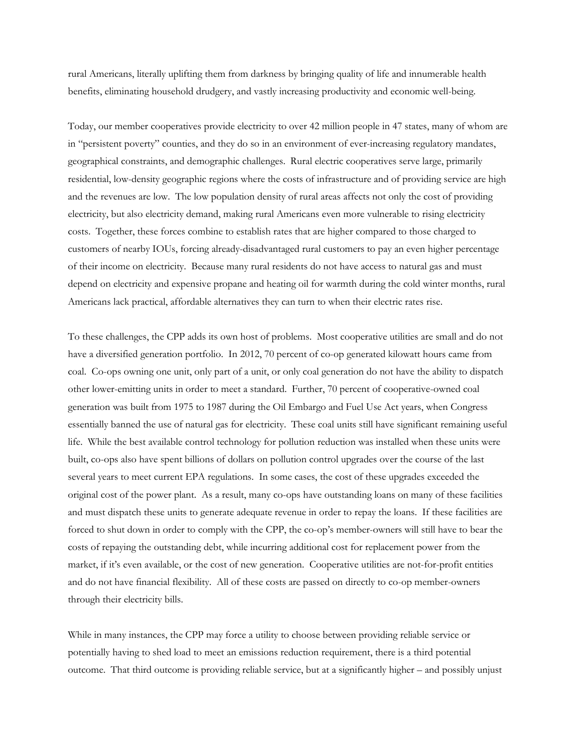rural Americans, literally uplifting them from darkness by bringing quality of life and innumerable health benefits, eliminating household drudgery, and vastly increasing productivity and economic well-being.

Today, our member cooperatives provide electricity to over 42 million people in 47 states, many of whom are in "persistent poverty" counties, and they do so in an environment of ever-increasing regulatory mandates, geographical constraints, and demographic challenges. Rural electric cooperatives serve large, primarily residential, low-density geographic regions where the costs of infrastructure and of providing service are high and the revenues are low. The low population density of rural areas affects not only the cost of providing electricity, but also electricity demand, making rural Americans even more vulnerable to rising electricity costs. Together, these forces combine to establish rates that are higher compared to those charged to customers of nearby IOUs, forcing already-disadvantaged rural customers to pay an even higher percentage of their income on electricity. Because many rural residents do not have access to natural gas and must depend on electricity and expensive propane and heating oil for warmth during the cold winter months, rural Americans lack practical, affordable alternatives they can turn to when their electric rates rise.

To these challenges, the CPP adds its own host of problems. Most cooperative utilities are small and do not have a diversified generation portfolio. In 2012, 70 percent of co-op generated kilowatt hours came from coal. Co-ops owning one unit, only part of a unit, or only coal generation do not have the ability to dispatch other lower-emitting units in order to meet a standard. Further, 70 percent of cooperative-owned coal generation was built from 1975 to 1987 during the Oil Embargo and Fuel Use Act years, when Congress essentially banned the use of natural gas for electricity. These coal units still have significant remaining useful life. While the best available control technology for pollution reduction was installed when these units were built, co-ops also have spent billions of dollars on pollution control upgrades over the course of the last several years to meet current EPA regulations. In some cases, the cost of these upgrades exceeded the original cost of the power plant. As a result, many co-ops have outstanding loans on many of these facilities and must dispatch these units to generate adequate revenue in order to repay the loans. If these facilities are forced to shut down in order to comply with the CPP, the co-op's member-owners will still have to bear the costs of repaying the outstanding debt, while incurring additional cost for replacement power from the market, if it's even available, or the cost of new generation. Cooperative utilities are not-for-profit entities and do not have financial flexibility. All of these costs are passed on directly to co-op member-owners through their electricity bills.

While in many instances, the CPP may force a utility to choose between providing reliable service or potentially having to shed load to meet an emissions reduction requirement, there is a third potential outcome. That third outcome is providing reliable service, but at a significantly higher – and possibly unjust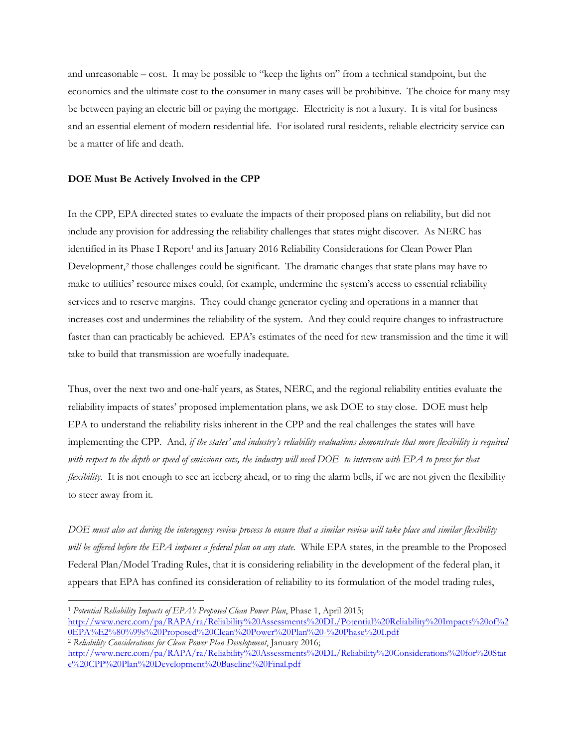and unreasonable – cost. It may be possible to "keep the lights on" from a technical standpoint, but the economics and the ultimate cost to the consumer in many cases will be prohibitive. The choice for many may be between paying an electric bill or paying the mortgage. Electricity is not a luxury. It is vital for business and an essential element of modern residential life. For isolated rural residents, reliable electricity service can be a matter of life and death.

# **DOE Must Be Actively Involved in the CPP**

In the CPP, EPA directed states to evaluate the impacts of their proposed plans on reliability, but did not include any provision for addressing the reliability challenges that states might discover. As NERC has identified in its Phase I Report<sup>[1](#page-2-0)</sup> and its January 2016 Reliability Considerations for Clean Power Plan Development,<sup>[2](#page-2-1)</sup> those challenges could be significant. The dramatic changes that state plans may have to make to utilities' resource mixes could, for example, undermine the system's access to essential reliability services and to reserve margins. They could change generator cycling and operations in a manner that increases cost and undermines the reliability of the system. And they could require changes to infrastructure faster than can practicably be achieved. EPA's estimates of the need for new transmission and the time it will take to build that transmission are woefully inadequate.

Thus, over the next two and one-half years, as States, NERC, and the regional reliability entities evaluate the reliability impacts of states' proposed implementation plans, we ask DOE to stay close. DOE must help EPA to understand the reliability risks inherent in the CPP and the real challenges the states will have implementing the CPP. And*, if the states' and industry's reliability evaluations demonstrate that more flexibility is required with respect to the depth or speed of emissions cuts, the industry will need DOE to intervene with EPA to press for that flexibility*. It is not enough to see an iceberg ahead, or to ring the alarm bells, if we are not given the flexibility to steer away from it.

*DOE must also act during the interagency review process to ensure that a similar review will take place and similar flexibility will be offered before the EPA imposes a federal plan on any state.* While EPA states, in the preamble to the Proposed Federal Plan/Model Trading Rules, that it is considering reliability in the development of the federal plan, it appears that EPA has confined its consideration of reliability to its formulation of the model trading rules,

<span id="page-2-0"></span> <sup>1</sup> *Potential Reliability Impacts of EPA's Proposed Clean Power Plan*, Phase 1, April 2015;

[http://www.nerc.com/pa/RAPA/ra/Reliability%20Assessments%20DL/Potential%20Reliability%20Impacts%20of%2](http://www.nerc.com/pa/RAPA/ra/Reliability%20Assessments%20DL/Potential%20Reliability%20Impacts%20of%20EPA%E2%80%99s%20Proposed%20Clean%20Power%20Plan%20-%20Phase%20I.pdf) [0EPA%E2%80%99s%20Proposed%20Clean%20Power%20Plan%20-%20Phase%20I.pdf](http://www.nerc.com/pa/RAPA/ra/Reliability%20Assessments%20DL/Potential%20Reliability%20Impacts%20of%20EPA%E2%80%99s%20Proposed%20Clean%20Power%20Plan%20-%20Phase%20I.pdf)

<span id="page-2-1"></span><sup>2</sup> *Reliability Considerations for Clean Power Plan Development*, January 2016;

[http://www.nerc.com/pa/RAPA/ra/Reliability%20Assessments%20DL/Reliability%20Considerations%20for%20Stat](http://www.nerc.com/pa/RAPA/ra/Reliability%20Assessments%20DL/Reliability%20Considerations%20for%20State%20CPP%20Plan%20Development%20Baseline%20Final.pdf) [e%20CPP%20Plan%20Development%20Baseline%20Final.pdf](http://www.nerc.com/pa/RAPA/ra/Reliability%20Assessments%20DL/Reliability%20Considerations%20for%20State%20CPP%20Plan%20Development%20Baseline%20Final.pdf)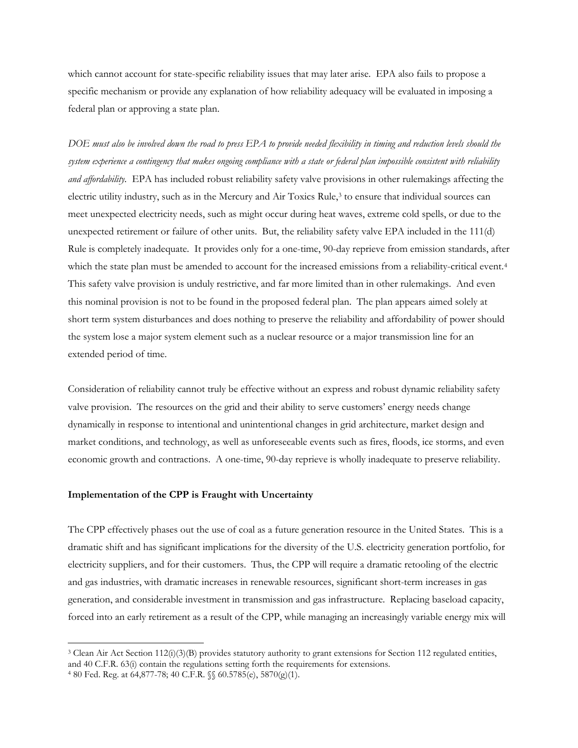which cannot account for state-specific reliability issues that may later arise. EPA also fails to propose a specific mechanism or provide any explanation of how reliability adequacy will be evaluated in imposing a federal plan or approving a state plan.

*DOE must also be involved down the road to press EPA to provide needed flexibility in timing and reduction levels should the system experience a contingency that makes ongoing compliance with a state or federal plan impossible consistent with reliability and affordability.* EPA has included robust reliability safety valve provisions in other rulemakings affecting the electric utility industry, such as in the Mercury and Air Toxics Rule,<sup>[3](#page-3-0)</sup> to ensure that individual sources can meet unexpected electricity needs, such as might occur during heat waves, extreme cold spells, or due to the unexpected retirement or failure of other units. But, the reliability safety valve EPA included in the 111(d) Rule is completely inadequate. It provides only for a one-time, 90-day reprieve from emission standards, after which the state plan must be amended to account for the increased emissions from a reliability-critical event.<sup>4</sup> This safety valve provision is unduly restrictive, and far more limited than in other rulemakings. And even this nominal provision is not to be found in the proposed federal plan. The plan appears aimed solely at short term system disturbances and does nothing to preserve the reliability and affordability of power should the system lose a major system element such as a nuclear resource or a major transmission line for an extended period of time.

Consideration of reliability cannot truly be effective without an express and robust dynamic reliability safety valve provision. The resources on the grid and their ability to serve customers' energy needs change dynamically in response to intentional and unintentional changes in grid architecture, market design and market conditions, and technology, as well as unforeseeable events such as fires, floods, ice storms, and even economic growth and contractions. A one-time, 90-day reprieve is wholly inadequate to preserve reliability.

## **Implementation of the CPP is Fraught with Uncertainty**

The CPP effectively phases out the use of coal as a future generation resource in the United States. This is a dramatic shift and has significant implications for the diversity of the U.S. electricity generation portfolio, for electricity suppliers, and for their customers. Thus, the CPP will require a dramatic retooling of the electric and gas industries, with dramatic increases in renewable resources, significant short-term increases in gas generation, and considerable investment in transmission and gas infrastructure. Replacing baseload capacity, forced into an early retirement as a result of the CPP, while managing an increasingly variable energy mix will

<span id="page-3-0"></span> $3$  Clean Air Act Section 112(i)(3)(B) provides statutory authority to grant extensions for Section 112 regulated entities, and 40 C.F.R. 63(i) contain the regulations setting forth the requirements for extensions.

<span id="page-3-1"></span><sup>4</sup> 80 Fed. Reg. at 64,877-78; 40 C.F.R. §§ 60.5785(e), 5870(g)(1).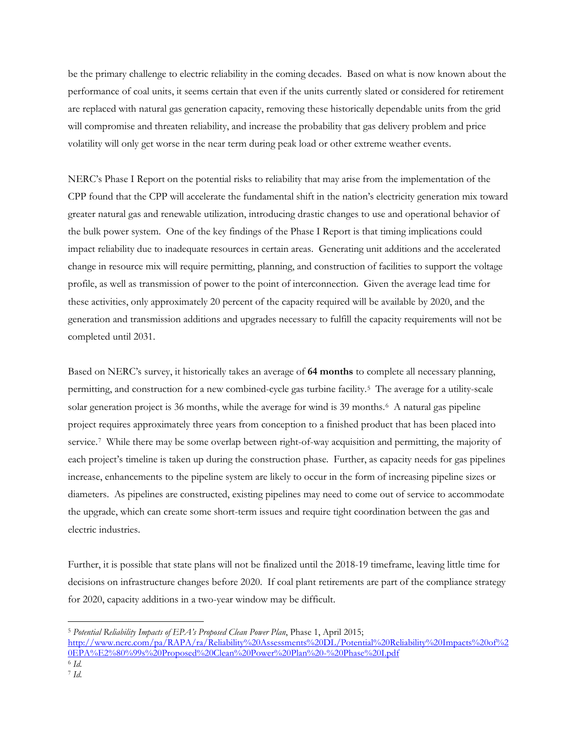be the primary challenge to electric reliability in the coming decades. Based on what is now known about the performance of coal units, it seems certain that even if the units currently slated or considered for retirement are replaced with natural gas generation capacity, removing these historically dependable units from the grid will compromise and threaten reliability, and increase the probability that gas delivery problem and price volatility will only get worse in the near term during peak load or other extreme weather events.

NERC's Phase I Report on the potential risks to reliability that may arise from the implementation of the CPP found that the CPP will accelerate the fundamental shift in the nation's electricity generation mix toward greater natural gas and renewable utilization, introducing drastic changes to use and operational behavior of the bulk power system. One of the key findings of the Phase I Report is that timing implications could impact reliability due to inadequate resources in certain areas. Generating unit additions and the accelerated change in resource mix will require permitting, planning, and construction of facilities to support the voltage profile, as well as transmission of power to the point of interconnection. Given the average lead time for these activities, only approximately 20 percent of the capacity required will be available by 2020, and the generation and transmission additions and upgrades necessary to fulfill the capacity requirements will not be completed until 2031.

Based on NERC's survey, it historically takes an average of **64 months** to complete all necessary planning, permitting, and construction for a new combined-cycle gas turbine facility.[5](#page-4-0) The average for a utility-scale solar generation project is 36 months, while the average for wind is 39 months.<sup>6</sup> A natural gas pipeline project requires approximately three years from conception to a finished product that has been placed into service.<sup>[7](#page-4-2)</sup> While there may be some overlap between right-of-way acquisition and permitting, the majority of each project's timeline is taken up during the construction phase. Further, as capacity needs for gas pipelines increase, enhancements to the pipeline system are likely to occur in the form of increasing pipeline sizes or diameters. As pipelines are constructed, existing pipelines may need to come out of service to accommodate the upgrade, which can create some short-term issues and require tight coordination between the gas and electric industries.

Further, it is possible that state plans will not be finalized until the 2018-19 timeframe, leaving little time for decisions on infrastructure changes before 2020. If coal plant retirements are part of the compliance strategy for 2020, capacity additions in a two-year window may be difficult.

<span id="page-4-0"></span> <sup>5</sup> *Potential Reliability Impacts of EPA's Proposed Clean Power Plan*, Phase 1, April 2015; [http://www.nerc.com/pa/RAPA/ra/Reliability%20Assessments%20DL/Potential%20Reliability%20Impacts%20of%2](http://www.nerc.com/pa/RAPA/ra/Reliability%20Assessments%20DL/Potential%20Reliability%20Impacts%20of%20EPA%E2%80%99s%20Proposed%20Clean%20Power%20Plan%20-%20Phase%20I.pdf) [0EPA%E2%80%99s%20Proposed%20Clean%20Power%20Plan%20-%20Phase%20I.pdf](http://www.nerc.com/pa/RAPA/ra/Reliability%20Assessments%20DL/Potential%20Reliability%20Impacts%20of%20EPA%E2%80%99s%20Proposed%20Clean%20Power%20Plan%20-%20Phase%20I.pdf)

<span id="page-4-1"></span><sup>6</sup> *Id.*

<span id="page-4-2"></span><sup>7</sup> *Id.*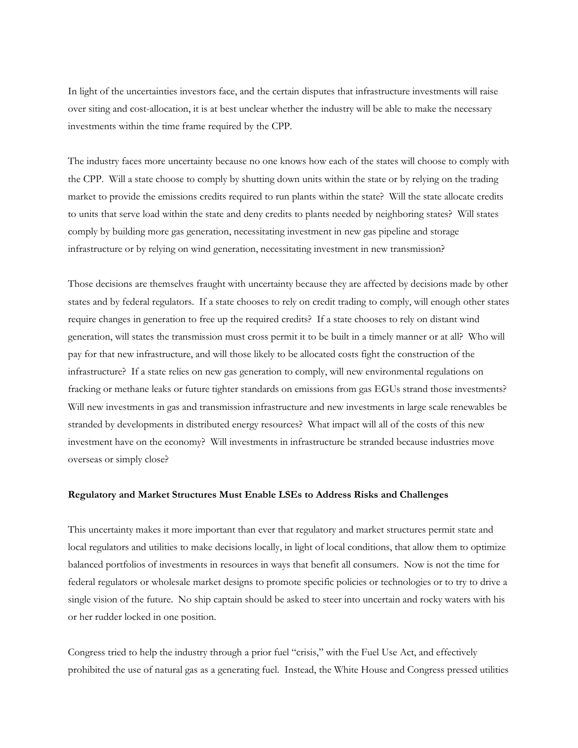In light of the uncertainties investors face, and the certain disputes that infrastructure investments will raise over siting and cost-allocation, it is at best unclear whether the industry will be able to make the necessary investments within the time frame required by the CPP.

The industry faces more uncertainty because no one knows how each of the states will choose to comply with the CPP. Will a state choose to comply by shutting down units within the state or by relying on the trading market to provide the emissions credits required to run plants within the state? Will the state allocate credits to units that serve load within the state and deny credits to plants needed by neighboring states? Will states comply by building more gas generation, necessitating investment in new gas pipeline and storage infrastructure or by relying on wind generation, necessitating investment in new transmission?

Those decisions are themselves fraught with uncertainty because they are affected by decisions made by other states and by federal regulators. If a state chooses to rely on credit trading to comply, will enough other states require changes in generation to free up the required credits? If a state chooses to rely on distant wind generation, will states the transmission must cross permit it to be built in a timely manner or at all? Who will pay for that new infrastructure, and will those likely to be allocated costs fight the construction of the infrastructure? If a state relies on new gas generation to comply, will new environmental regulations on fracking or methane leaks or future tighter standards on emissions from gas EGUs strand those investments? Will new investments in gas and transmission infrastructure and new investments in large scale renewables be stranded by developments in distributed energy resources? What impact will all of the costs of this new investment have on the economy? Will investments in infrastructure be stranded because industries move overseas or simply close?

## **Regulatory and Market Structures Must Enable LSEs to Address Risks and Challenges**

This uncertainty makes it more important than ever that regulatory and market structures permit state and local regulators and utilities to make decisions locally, in light of local conditions, that allow them to optimize balanced portfolios of investments in resources in ways that benefit all consumers. Now is not the time for federal regulators or wholesale market designs to promote specific policies or technologies or to try to drive a single vision of the future. No ship captain should be asked to steer into uncertain and rocky waters with his or her rudder locked in one position.

Congress tried to help the industry through a prior fuel "crisis," with the Fuel Use Act, and effectively prohibited the use of natural gas as a generating fuel. Instead, the White House and Congress pressed utilities